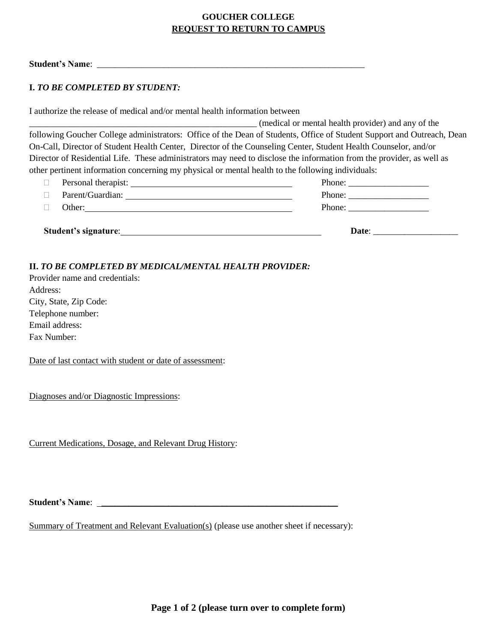## **GOUCHER COLLEGE REQUEST TO RETURN TO CAMPUS**

Student's Name:

## **I.** *TO BE COMPLETED BY STUDENT:*

I authorize the release of medical and/or mental health information between

|                                                                                                                        | (medical or mental health provider) and any of the |
|------------------------------------------------------------------------------------------------------------------------|----------------------------------------------------|
| following Goucher College administrators: Office of the Dean of Students, Office of Student Support and Outreach, Dean |                                                    |
| On-Call, Director of Student Health Center, Director of the Counseling Center, Student Health Counselor, and/or        |                                                    |
| Director of Residential Life. These administrators may need to disclose the information from the provider, as well as  |                                                    |
| other pertinent information concerning my physical or mental health to the following individuals:                      |                                                    |

| Student's signature:                                                                                                                         | Date:                                                     |
|----------------------------------------------------------------------------------------------------------------------------------------------|-----------------------------------------------------------|
| Other:                                                                                                                                       | Phone: $\frac{1}{\sqrt{1-\frac{1}{2}} \cdot \frac{1}{2}}$ |
| Parent/Guardian:                                                                                                                             |                                                           |
| Personal therapist:<br><u> 1989 - Johann Harry Harry Harry Harry Harry Harry Harry Harry Harry Harry Harry Harry Harry Harry Harry Harry</u> | Phone: $\frac{1}{\sqrt{1-\frac{1}{2}} \cdot \frac{1}{2}}$ |

## **II.** *TO BE COMPLETED BY MEDICAL/MENTAL HEALTH PROVIDER:*

Provider name and credentials: Address: City, State, Zip Code: Telephone number: Email address: Fax Number:

Date of last contact with student or date of assessment:

Diagnoses and/or Diagnostic Impressions:

Current Medications, Dosage, and Relevant Drug History:

**Student's Name**: \_\_\_\_\_\_\_\_\_\_\_\_\_\_\_\_\_\_\_\_\_\_\_\_\_\_\_\_\_\_\_\_\_\_\_\_\_\_\_\_\_\_\_\_\_\_\_\_\_\_\_\_\_

Summary of Treatment and Relevant Evaluation(s) (please use another sheet if necessary):